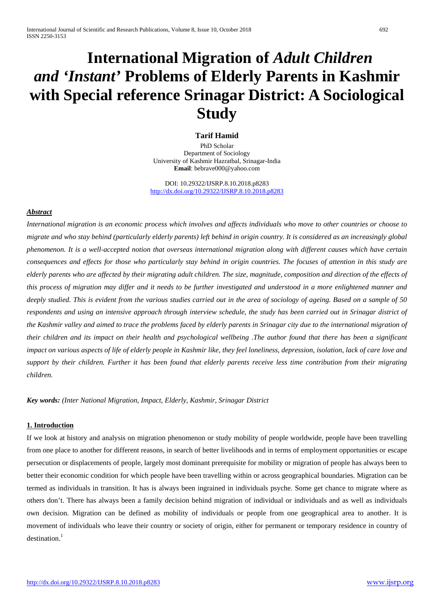# **International Migration of** *Adult Children and 'Instant'* **Problems of Elderly Parents in Kashmir with Special reference Srinagar District: A Sociological Study**

## **Tarif Hamid**

PhD Scholar Department of Sociology University of Kashmir Hazratbal, Srinagar-India **Email**: bebrave000@yahoo.com

DOI: 10.29322/IJSRP.8.10.2018.p8283 <http://dx.doi.org/10.29322/IJSRP.8.10.2018.p8283>

## *Abstract*

*International migration is an economic process which involves and affects individuals who move to other countries or choose to migrate and who stay behind (particularly elderly parents) left behind in origin country. It is considered as an increasingly global phenomenon. It is a well-accepted notion that overseas international migration along with different causes which have certain consequences and effects for those who particularly stay behind in origin countries. The focuses of attention in this study are elderly parents who are affected by their migrating adult children. The size, magnitude, composition and direction of the effects of this process of migration may differ and it needs to be further investigated and understood in a more enlightened manner and deeply studied. This is evident from the various studies carried out in the area of sociology of ageing. Based on a sample of 50 respondents and using an intensive approach through interview schedule, the study has been carried out in Srinagar district of the Kashmir valley and aimed to trace the problems faced by elderly parents in Srinagar city due to the international migration of their children and its impact on their health and psychological wellbeing .The author found that there has been a significant impact on various aspects of life of elderly people in Kashmir like, they feel loneliness, depression, isolation, lack of care love and support by their children. Further it has been found that elderly parents receive less time contribution from their migrating children.* 

*Key words: (Inter National Migration, Impact, Elderly, Kashmir, Srinagar District*

## **1. Introduction**

If we look at history and analysis on migration phenomenon or study mobility of people worldwide, people have been travelling from one place to another for different reasons, in search of better livelihoods and in terms of employment opportunities or escape persecution or displacements of people, largely most dominant prerequisite for mobility or migration of people has always been to better their economic condition for which people have been travelling within or across geographical boundaries. Migration can be termed as individuals in transition. It has is always been ingrained in individuals psyche. Some get chance to migrate where as others don't. There has always been a family decision behind migration of individual or individuals and as well as individuals own decision. Migration can be defined as mobility of individuals or people from one geographical area to another. It is movement of individuals who leave their country or society of origin, either for permanent or temporary residence in country of  $destination.<sup>1</sup>$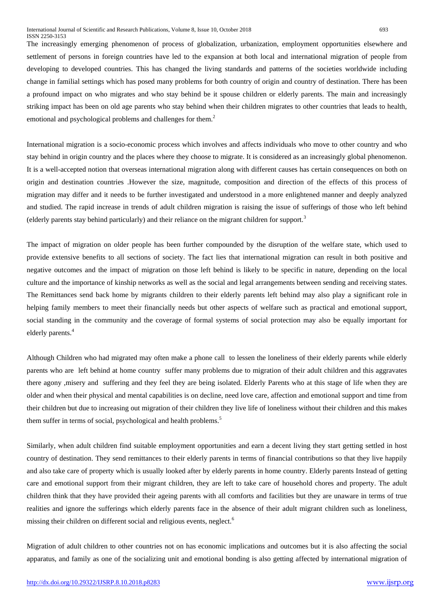The increasingly emerging phenomenon of process of globalization, urbanization, employment opportunities elsewhere and settlement of persons in foreign countries have led to the expansion at both local and international migration of people from developing to developed countries. This has changed the living standards and patterns of the societies worldwide including change in familial settings which has posed many problems for both country of origin and country of destination. There has been a profound impact on who migrates and who stay behind be it spouse children or elderly parents. The main and increasingly striking impact has been on old age parents who stay behind when their children migrates to other countries that leads to health, emotional and psychological problems and challenges for them.<sup>2</sup>

International migration is a socio-economic process which involves and affects individuals who move to other country and who stay behind in origin country and the places where they choose to migrate. It is considered as an increasingly global phenomenon. It is a well-accepted notion that overseas international migration along with different causes has certain consequences on both on origin and destination countries .However the size, magnitude, composition and direction of the effects of this process of migration may differ and it needs to be further investigated and understood in a more enlightened manner and deeply analyzed and studied. The rapid increase in trends of adult children migration is raising the issue of sufferings of those who left behind (elderly parents stay behind particularly) and their reliance on the migrant children for support.<sup>3</sup>

The impact of migration on older people has been further compounded by the disruption of the welfare state, which used to provide extensive benefits to all sections of society. The fact lies that international migration can result in both positive and negative outcomes and the impact of migration on those left behind is likely to be specific in nature, depending on the local culture and the importance of kinship networks as well as the social and legal arrangements between sending and receiving states. The Remittances send back home by migrants children to their elderly parents left behind may also play a significant role in helping family members to meet their financially needs but other aspects of welfare such as practical and emotional support, social standing in the community and the coverage of formal systems of social protection may also be equally important for elderly parents. 4

Although Children who had migrated may often make a phone call to lessen the loneliness of their elderly parents while elderly parents who are left behind at home country suffer many problems due to migration of their adult children and this aggravates there agony ,misery and suffering and they feel they are being isolated. Elderly Parents who at this stage of life when they are older and when their physical and mental capabilities is on decline, need love care, affection and emotional support and time from their children but due to increasing out migration of their children they live life of loneliness without their children and this makes them suffer in terms of social, psychological and health problems.<sup>5</sup>

Similarly, when adult children find suitable employment opportunities and earn a decent living they start getting settled in host country of destination. They send remittances to their elderly parents in terms of financial contributions so that they live happily and also take care of property which is usually looked after by elderly parents in home country. Elderly parents Instead of getting care and emotional support from their migrant children, they are left to take care of household chores and property. The adult children think that they have provided their ageing parents with all comforts and facilities but they are unaware in terms of true realities and ignore the sufferings which elderly parents face in the absence of their adult migrant children such as loneliness, missing their children on different social and religious events, neglect. 6

Migration of adult children to other countries not on has economic implications and outcomes but it is also affecting the social apparatus, and family as one of the socializing unit and emotional bonding is also getting affected by international migration of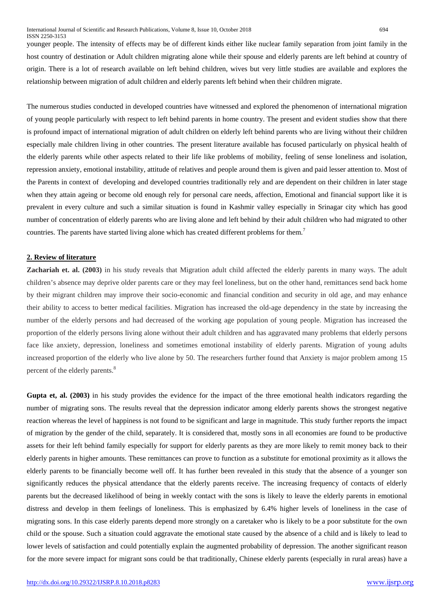younger people. The intensity of effects may be of different kinds either like nuclear family separation from joint family in the host country of destination or Adult children migrating alone while their spouse and elderly parents are left behind at country of origin. There is a lot of research available on left behind children, wives but very little studies are available and explores the relationship between migration of adult children and elderly parents left behind when their children migrate.

The numerous studies conducted in developed countries have witnessed and explored the phenomenon of international migration of young people particularly with respect to left behind parents in home country. The present and evident studies show that there is profound impact of international migration of adult children on elderly left behind parents who are living without their children especially male children living in other countries. The present literature available has focused particularly on physical health of the elderly parents while other aspects related to their life like problems of mobility, feeling of sense loneliness and isolation, repression anxiety, emotional instability, attitude of relatives and people around them is given and paid lesser attention to. Most of the Parents in context of developing and developed countries traditionally rely and are dependent on their children in later stage when they attain ageing or become old enough rely for personal care needs, affection, Emotional and financial support like it is prevalent in every culture and such a similar situation is found in Kashmir valley especially in Srinagar city which has good number of concentration of elderly parents who are living alone and left behind by their adult children who had migrated to other countries. The parents have started living alone which has created different problems for them.<sup>7</sup>

### **2. Review of literature**

**Zachariah et. al. (2003)** in his study reveals that Migration adult child affected the elderly parents in many ways. The adult children's absence may deprive older parents care or they may feel loneliness, but on the other hand, remittances send back home by their migrant children may improve their socio-economic and financial condition and security in old age, and may enhance their ability to access to better medical facilities. Migration has increased the old-age dependency in the state by increasing the number of the elderly persons and had decreased of the working age population of young people. Migration has increased the proportion of the elderly persons living alone without their adult children and has aggravated many problems that elderly persons face like anxiety, depression, loneliness and sometimes emotional instability of elderly parents. Migration of young adults increased proportion of the elderly who live alone by 50. The researchers further found that Anxiety is major problem among 15 percent of the elderly parents.<sup>8</sup>

**Gupta et, al. (2003)** in his study provides the evidence for the impact of the three emotional health indicators regarding the number of migrating sons. The results reveal that the depression indicator among elderly parents shows the strongest negative reaction whereas the level of happiness is not found to be significant and large in magnitude. This study further reports the impact of migration by the gender of the child, separately. It is considered that, mostly sons in all economies are found to be productive assets for their left behind family especially for support for elderly parents as they are more likely to remit money back to their elderly parents in higher amounts. These remittances can prove to function as a substitute for emotional proximity as it allows the elderly parents to be financially become well off. It has further been revealed in this study that the absence of a younger son significantly reduces the physical attendance that the elderly parents receive. The increasing frequency of contacts of elderly parents but the decreased likelihood of being in weekly contact with the sons is likely to leave the elderly parents in emotional distress and develop in them feelings of loneliness. This is emphasized by 6.4% higher levels of loneliness in the case of migrating sons. In this case elderly parents depend more strongly on a caretaker who is likely to be a poor substitute for the own child or the spouse. Such a situation could aggravate the emotional state caused by the absence of a child and is likely to lead to lower levels of satisfaction and could potentially explain the augmented probability of depression. The another significant reason for the more severe impact for migrant sons could be that traditionally, Chinese elderly parents (especially in rural areas) have a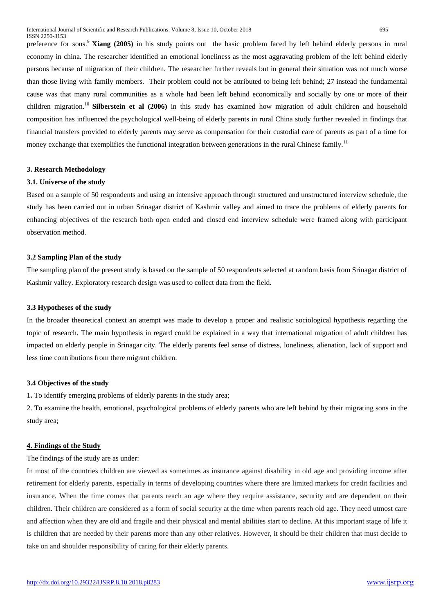preference for sons.<sup>9</sup> **Xiang (2005)** in his study points out the basic problem faced by left behind elderly persons in rural economy in china. The researcher identified an emotional loneliness as the most aggravating problem of the left behind elderly persons because of migration of their children. The researcher further reveals but in general their situation was not much worse than those living with family members. Their problem could not be attributed to being left behind; 27 instead the fundamental cause was that many rural communities as a whole had been left behind economically and socially by one or more of their children migration.<sup>10</sup> **Silberstein et al (2006)** in this study has examined how migration of adult children and household composition has influenced the psychological well-being of elderly parents in rural China study further revealed in findings that financial transfers provided to elderly parents may serve as compensation for their custodial care of parents as part of a time for money exchange that exemplifies the functional integration between generations in the rural Chinese family.<sup>11</sup>

#### **3. Research Methodology**

#### **3.1. Universe of the study**

Based on a sample of 50 respondents and using an intensive approach through structured and unstructured interview schedule, the study has been carried out in urban Srinagar district of Kashmir valley and aimed to trace the problems of elderly parents for enhancing objectives of the research both open ended and closed end interview schedule were framed along with participant observation method.

#### **3.2 Sampling Plan of the study**

The sampling plan of the present study is based on the sample of 50 respondents selected at random basis from Srinagar district of Kashmir valley. Exploratory research design was used to collect data from the field.

#### **3.3 Hypotheses of the study**

In the broader theoretical context an attempt was made to develop a proper and realistic sociological hypothesis regarding the topic of research. The main hypothesis in regard could be explained in a way that international migration of adult children has impacted on elderly people in Srinagar city. The elderly parents feel sense of distress, loneliness, alienation, lack of support and less time contributions from there migrant children.

#### **3.4 Objectives of the study**

1**.** To identify emerging problems of elderly parents in the study area;

2. To examine the health, emotional, psychological problems of elderly parents who are left behind by their migrating sons in the study area;

#### **4. Findings of the Study**

The findings of the study are as under:

In most of the countries children are viewed as sometimes as insurance against disability in old age and providing income after retirement for elderly parents, especially in terms of developing countries where there are limited markets for credit facilities and insurance. When the time comes that parents reach an age where they require assistance, security and are dependent on their children. Their children are considered as a form of social security at the time when parents reach old age. They need utmost care and affection when they are old and fragile and their physical and mental abilities start to decline. At this important stage of life it is children that are needed by their parents more than any other relatives. However, it should be their children that must decide to take on and shoulder responsibility of caring for their elderly parents.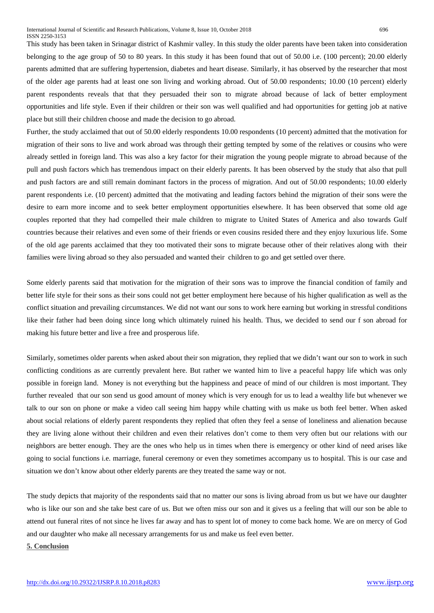This study has been taken in Srinagar district of Kashmir valley. In this study the older parents have been taken into consideration belonging to the age group of 50 to 80 years. In this study it has been found that out of 50.00 i.e. (100 percent); 20.00 elderly parents admitted that are suffering hypertension, diabetes and heart disease. Similarly, it has observed by the researcher that most of the older age parents had at least one son living and working abroad. Out of 50.00 respondents; 10.00 (10 percent) elderly parent respondents reveals that that they persuaded their son to migrate abroad because of lack of better employment opportunities and life style. Even if their children or their son was well qualified and had opportunities for getting job at native place but still their children choose and made the decision to go abroad.

Further, the study acclaimed that out of 50.00 elderly respondents 10.00 respondents (10 percent) admitted that the motivation for migration of their sons to live and work abroad was through their getting tempted by some of the relatives or cousins who were already settled in foreign land. This was also a key factor for their migration the young people migrate to abroad because of the pull and push factors which has tremendous impact on their elderly parents. It has been observed by the study that also that pull and push factors are and still remain dominant factors in the process of migration. And out of 50.00 respondents; 10.00 elderly parent respondents i.e. (10 percent) admitted that the motivating and leading factors behind the migration of their sons were the desire to earn more income and to seek better employment opportunities elsewhere. It has been observed that some old age couples reported that they had compelled their male children to migrate to United States of America and also towards Gulf countries because their relatives and even some of their friends or even cousins resided there and they enjoy luxurious life. Some of the old age parents acclaimed that they too motivated their sons to migrate because other of their relatives along with their families were living abroad so they also persuaded and wanted their children to go and get settled over there.

Some elderly parents said that motivation for the migration of their sons was to improve the financial condition of family and better life style for their sons as their sons could not get better employment here because of his higher qualification as well as the conflict situation and prevailing circumstances. We did not want our sons to work here earning but working in stressful conditions like their father had been doing since long which ultimately ruined his health. Thus, we decided to send our f son abroad for making his future better and live a free and prosperous life.

Similarly, sometimes older parents when asked about their son migration, they replied that we didn't want our son to work in such conflicting conditions as are currently prevalent here. But rather we wanted him to live a peaceful happy life which was only possible in foreign land. Money is not everything but the happiness and peace of mind of our children is most important. They further revealed that our son send us good amount of money which is very enough for us to lead a wealthy life but whenever we talk to our son on phone or make a video call seeing him happy while chatting with us make us both feel better. When asked about social relations of elderly parent respondents they replied that often they feel a sense of loneliness and alienation because they are living alone without their children and even their relatives don't come to them very often but our relations with our neighbors are better enough. They are the ones who help us in times when there is emergency or other kind of need arises like going to social functions i.e. marriage, funeral ceremony or even they sometimes accompany us to hospital. This is our case and situation we don't know about other elderly parents are they treated the same way or not.

The study depicts that majority of the respondents said that no matter our sons is living abroad from us but we have our daughter who is like our son and she take best care of us. But we often miss our son and it gives us a feeling that will our son be able to attend out funeral rites of not since he lives far away and has to spent lot of money to come back home. We are on mercy of God and our daughter who make all necessary arrangements for us and make us feel even better.

**5. Conclusion**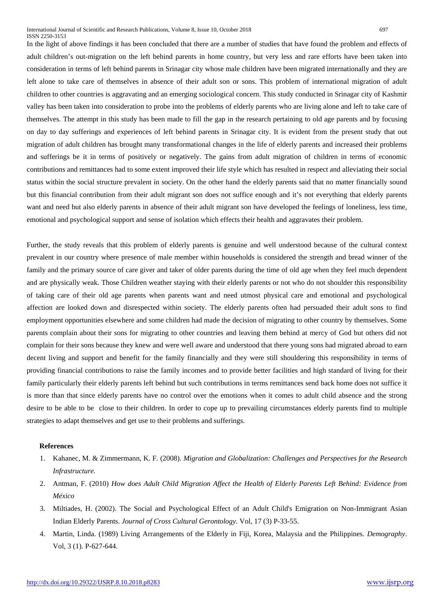In the light of above findings it has been concluded that there are a number of studies that have found the problem and effects of adult children's out-migration on the left behind parents in home country, but very less and rare efforts have been taken into consideration in terms of left behind parents in Srinagar city whose male children have been migrated internationally and they are left alone to take care of themselves in absence of their adult son or sons. This problem of international migration of adult children to other countries is aggravating and an emerging sociological concern. This study conducted in Srinagar city of Kashmir valley has been taken into consideration to probe into the problems of elderly parents who are living alone and left to take care of themselves. The attempt in this study has been made to fill the gap in the research pertaining to old age parents and by focusing on day to day sufferings and experiences of left behind parents in Srinagar city. It is evident from the present study that out migration of adult children has brought many transformational changes in the life of elderly parents and increased their problems and sufferings be it in terms of positively or negatively. The gains from adult migration of children in terms of economic contributions and remittances had to some extent improved their life style which has resulted in respect and alleviating their social status within the social structure prevalent in society. On the other hand the elderly parents said that no matter financially sound but this financial contribution from their adult migrant son does not suffice enough and it's not everything that elderly parents want and need but also elderly parents in absence of their adult migrant son have developed the feelings of loneliness, less time, emotional and psychological support and sense of isolation which effects their health and aggravates their problem.

Further, the study reveals that this problem of elderly parents is genuine and well understood because of the cultural context prevalent in our country where presence of male member within households is considered the strength and bread winner of the family and the primary source of care giver and taker of older parents during the time of old age when they feel much dependent and are physically weak. Those Children weather staying with their elderly parents or not who do not shoulder this responsibility of taking care of their old age parents when parents want and need utmost physical care and emotional and psychological affection are looked down and disrespected within society. The elderly parents often had persuaded their adult sons to find employment opportunities elsewhere and some children had made the decision of migrating to other country by themselves. Some parents complain about their sons for migrating to other countries and leaving them behind at mercy of God but others did not complain for their sons because they knew and were well aware and understood that there young sons had migrated abroad to earn decent living and support and benefit for the family financially and they were still shouldering this responsibility in terms of providing financial contributions to raise the family incomes and to provide better facilities and high standard of living for their family particularly their elderly parents left behind but such contributions in terms remittances send back home does not suffice it is more than that since elderly parents have no control over the emotions when it comes to adult child absence and the strong desire to be able to be close to their children. In order to cope up to prevailing circumstances elderly parents find to multiple strategies to adapt themselves and get use to their problems and sufferings.

#### **References**

- 1. Kahanec, M. & Zimmermann, K. F. (2008). *Migration and Globalization: Challenges and Perspectives for the Research Infrastructure.*
- 2. Antman, F. (2010) *How does Adult Child Migration Affect the Health of Elderly Parents Left Behind: Evidence from México*
- 3. Miltiades, H. (2002). The Social and Psychological Effect of an Adult Child's Emigration on Non-Immigrant Asian Indian Elderly Parents. *Journal of Cross Cultural Gerontology.* Vol, 17 (3) P-33-55.
- 4. Martin, Linda. (1989) Living Arrangements of the Elderly in Fiji, Korea, Malaysia and the Philippines. *Demography*. Vol, 3 (1). P-627-644.